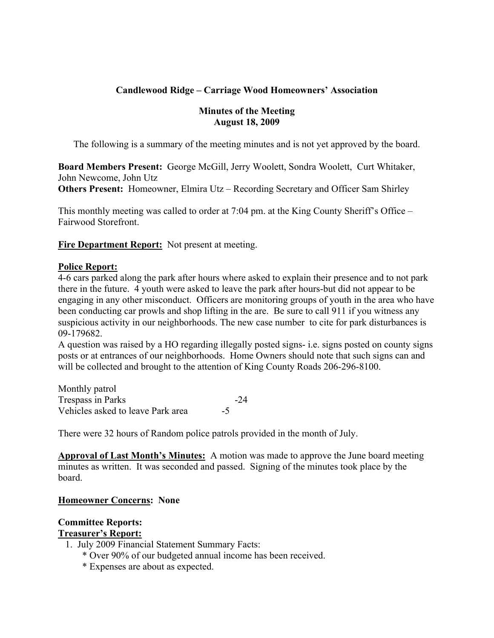# **Candlewood Ridge – Carriage Wood Homeowners' Association**

# **Minutes of the Meeting August 18, 2009**

The following is a summary of the meeting minutes and is not yet approved by the board.

**Board Members Present:** George McGill, Jerry Woolett, Sondra Woolett, Curt Whitaker, John Newcome, John Utz

**Others Present:** Homeowner, Elmira Utz – Recording Secretary and Officer Sam Shirley

This monthly meeting was called to order at 7:04 pm. at the King County Sheriff's Office – Fairwood Storefront.

**Fire Department Report:** Not present at meeting.

# **Police Report:**

4-6 cars parked along the park after hours where asked to explain their presence and to not park there in the future. 4 youth were asked to leave the park after hours-but did not appear to be engaging in any other misconduct. Officers are monitoring groups of youth in the area who have been conducting car prowls and shop lifting in the are. Be sure to call 911 if you witness any suspicious activity in our neighborhoods. The new case number to cite for park disturbances is 09-179682.

A question was raised by a HO regarding illegally posted signs- i.e. signs posted on county signs posts or at entrances of our neighborhoods. Home Owners should note that such signs can and will be collected and brought to the attention of King County Roads 206-296-8100.

Monthly patrol Trespass in Parks -24 Vehicles asked to leave Park area  $-5$ 

There were 32 hours of Random police patrols provided in the month of July.

**Approval of Last Month's Minutes:** A motion was made to approve the June board meeting minutes as written. It was seconded and passed. Signing of the minutes took place by the board.

### **Homeowner Concerns: None**

# **Committee Reports: Treasurer's Report:**

- 1. July 2009 Financial Statement Summary Facts:
	- \* Over 90% of our budgeted annual income has been received.
	- \* Expenses are about as expected.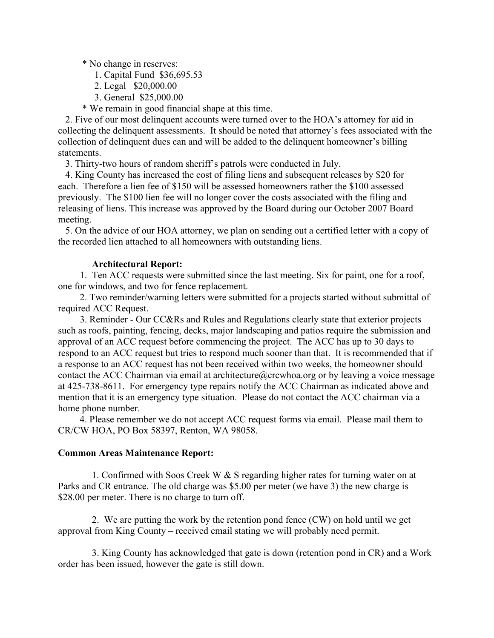\* No change in reserves:

1. Capital Fund \$36,695.53

- 2. Legal \$20,000.00
- 3. General \$25,000.00

\* We remain in good financial shape at this time.

 2. Five of our most delinquent accounts were turned over to the HOA's attorney for aid in collecting the delinquent assessments. It should be noted that attorney's fees associated with the collection of delinquent dues can and will be added to the delinquent homeowner's billing statements.

3. Thirty-two hours of random sheriff's patrols were conducted in July.

 4. King County has increased the cost of filing liens and subsequent releases by \$20 for each. Therefore a lien fee of \$150 will be assessed homeowners rather the \$100 assessed previously. The \$100 lien fee will no longer cover the costs associated with the filing and releasing of liens. This increase was approved by the Board during our October 2007 Board meeting.

 5. On the advice of our HOA attorney, we plan on sending out a certified letter with a copy of the recorded lien attached to all homeowners with outstanding liens.

### **Architectural Report:**

 1. Ten ACC requests were submitted since the last meeting. Six for paint, one for a roof, one for windows, and two for fence replacement.

 2. Two reminder/warning letters were submitted for a projects started without submittal of required ACC Request.

 3. Reminder - Our CC&Rs and Rules and Regulations clearly state that exterior projects such as roofs, painting, fencing, decks, major landscaping and patios require the submission and approval of an ACC request before commencing the project. The ACC has up to 30 days to respond to an ACC request but tries to respond much sooner than that. It is recommended that if a response to an ACC request has not been received within two weeks, the homeowner should contact the ACC Chairman via email at architecture@crcwhoa.org or by leaving a voice message at 425-738-8611. For emergency type repairs notify the ACC Chairman as indicated above and mention that it is an emergency type situation. Please do not contact the ACC chairman via a home phone number.

 4. Please remember we do not accept ACC request forms via email. Please mail them to CR/CW HOA, PO Box 58397, Renton, WA 98058.

### **Common Areas Maintenance Report:**

 1. Confirmed with Soos Creek W & S regarding higher rates for turning water on at Parks and CR entrance. The old charge was \$5.00 per meter (we have 3) the new charge is \$28.00 per meter. There is no charge to turn off.

 2. We are putting the work by the retention pond fence (CW) on hold until we get approval from King County – received email stating we will probably need permit.

 3. King County has acknowledged that gate is down (retention pond in CR) and a Work order has been issued, however the gate is still down.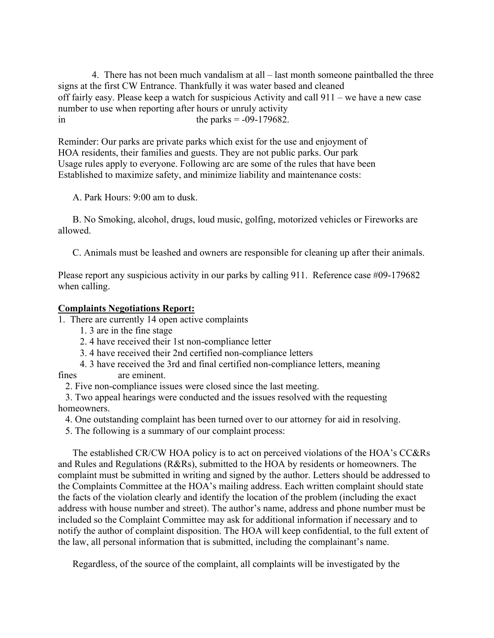4. There has not been much vandalism at all – last month someone paintballed the three signs at the first CW Entrance. Thankfully it was water based and cleaned off fairly easy. Please keep a watch for suspicious Activity and call 911 – we have a new case number to use when reporting after hours or unruly activity in the parks  $= -09-179682$ .

Reminder: Our parks are private parks which exist for the use and enjoyment of HOA residents, their families and guests. They are not public parks. Our park Usage rules apply to everyone. Following arc are some of the rules that have been Established to maximize safety, and minimize liability and maintenance costs:

A. Park Hours: 9:00 am to dusk.

 B. No Smoking, alcohol, drugs, loud music, golfing, motorized vehicles or Fireworks are allowed.

C. Animals must be leashed and owners are responsible for cleaning up after their animals.

Please report any suspicious activity in our parks by calling 911. Reference case #09-179682 when calling.

### **Complaints Negotiations Report:**

1. There are currently 14 open active complaints

- 1. 3 are in the fine stage
- 2. 4 have received their 1st non-compliance letter
- 3. 4 have received their 2nd certified non-compliance letters
- 4. 3 have received the 3rd and final certified non-compliance letters, meaning

fines are eminent.

2. Five non-compliance issues were closed since the last meeting.

 3. Two appeal hearings were conducted and the issues resolved with the requesting homeowners.

4. One outstanding complaint has been turned over to our attorney for aid in resolving.

5. The following is a summary of our complaint process:

 The established CR/CW HOA policy is to act on perceived violations of the HOA's CC&Rs and Rules and Regulations (R&Rs), submitted to the HOA by residents or homeowners. The complaint must be submitted in writing and signed by the author. Letters should be addressed to the Complaints Committee at the HOA's mailing address. Each written complaint should state the facts of the violation clearly and identify the location of the problem (including the exact address with house number and street). The author's name, address and phone number must be included so the Complaint Committee may ask for additional information if necessary and to notify the author of complaint disposition. The HOA will keep confidential, to the full extent of the law, all personal information that is submitted, including the complainant's name.

Regardless, of the source of the complaint, all complaints will be investigated by the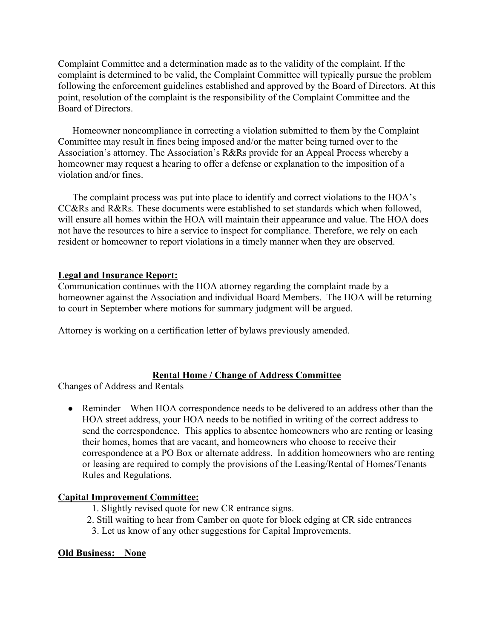Complaint Committee and a determination made as to the validity of the complaint. If the complaint is determined to be valid, the Complaint Committee will typically pursue the problem following the enforcement guidelines established and approved by the Board of Directors. At this point, resolution of the complaint is the responsibility of the Complaint Committee and the Board of Directors.

 Homeowner noncompliance in correcting a violation submitted to them by the Complaint Committee may result in fines being imposed and/or the matter being turned over to the Association's attorney. The Association's R&Rs provide for an Appeal Process whereby a homeowner may request a hearing to offer a defense or explanation to the imposition of a violation and/or fines.

 The complaint process was put into place to identify and correct violations to the HOA's CC&Rs and R&Rs. These documents were established to set standards which when followed, will ensure all homes within the HOA will maintain their appearance and value. The HOA does not have the resources to hire a service to inspect for compliance. Therefore, we rely on each resident or homeowner to report violations in a timely manner when they are observed.

# **Legal and Insurance Report:**

Communication continues with the HOA attorney regarding the complaint made by a homeowner against the Association and individual Board Members. The HOA will be returning to court in September where motions for summary judgment will be argued.

Attorney is working on a certification letter of bylaws previously amended.

### **Rental Home / Change of Address Committee**

Changes of Address and Rentals

• Reminder – When HOA correspondence needs to be delivered to an address other than the HOA street address, your HOA needs to be notified in writing of the correct address to send the correspondence. This applies to absentee homeowners who are renting or leasing their homes, homes that are vacant, and homeowners who choose to receive their correspondence at a PO Box or alternate address. In addition homeowners who are renting or leasing are required to comply the provisions of the Leasing/Rental of Homes/Tenants Rules and Regulations.

### **Capital Improvement Committee:**

- 1. Slightly revised quote for new CR entrance signs.
- 2. Still waiting to hear from Camber on quote for block edging at CR side entrances
- 3. Let us know of any other suggestions for Capital Improvements.

### **Old Business: None**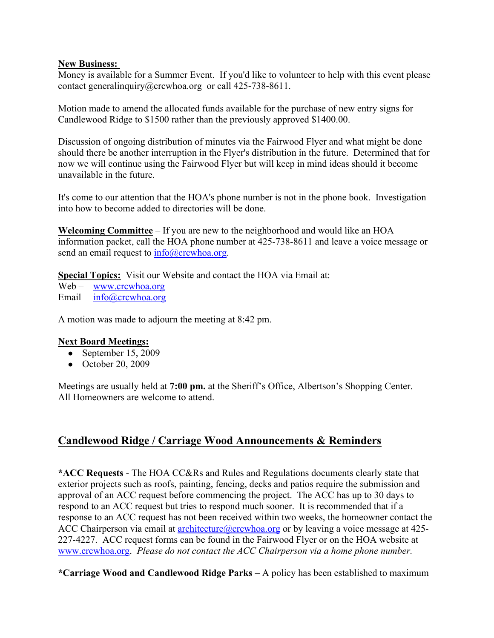# **New Business:**

Money is available for a Summer Event. If you'd like to volunteer to help with this event please contact generalinquiry@crcwhoa.org or call 425-738-8611.

Motion made to amend the allocated funds available for the purchase of new entry signs for Candlewood Ridge to \$1500 rather than the previously approved \$1400.00.

Discussion of ongoing distribution of minutes via the Fairwood Flyer and what might be done should there be another interruption in the Flyer's distribution in the future. Determined that for now we will continue using the Fairwood Flyer but will keep in mind ideas should it become unavailable in the future.

It's come to our attention that the HOA's phone number is not in the phone book. Investigation into how to become added to directories will be done.

**Welcoming Committee** – If you are new to the neighborhood and would like an HOA information packet, call the HOA phone number at 425-738-8611 and leave a voice message or send an email request to  $info@crcwhoa.org$ .

**Special Topics:** Visit our Website and contact the HOA via Email at: Web – www.crcwhoa.org Email –  $info@crcwhoa.org$ 

A motion was made to adjourn the meeting at 8:42 pm.

# **Next Board Meetings:**

- September 15, 2009
- October 20, 2009

Meetings are usually held at **7:00 pm.** at the Sheriff's Office, Albertson's Shopping Center. All Homeowners are welcome to attend.

# **Candlewood Ridge / Carriage Wood Announcements & Reminders**

**\*ACC Requests** - The HOA CC&Rs and Rules and Regulations documents clearly state that exterior projects such as roofs, painting, fencing, decks and patios require the submission and approval of an ACC request before commencing the project. The ACC has up to 30 days to respond to an ACC request but tries to respond much sooner. It is recommended that if a response to an ACC request has not been received within two weeks, the homeowner contact the ACC Chairperson via email at architecture  $@crcwhoa.org$  or by leaving a voice message at 425-227-4227. ACC request forms can be found in the Fairwood Flyer or on the HOA website at www.crcwhoa.org. *Please do not contact the ACC Chairperson via a home phone number.*

**\*Carriage Wood and Candlewood Ridge Parks** – A policy has been established to maximum